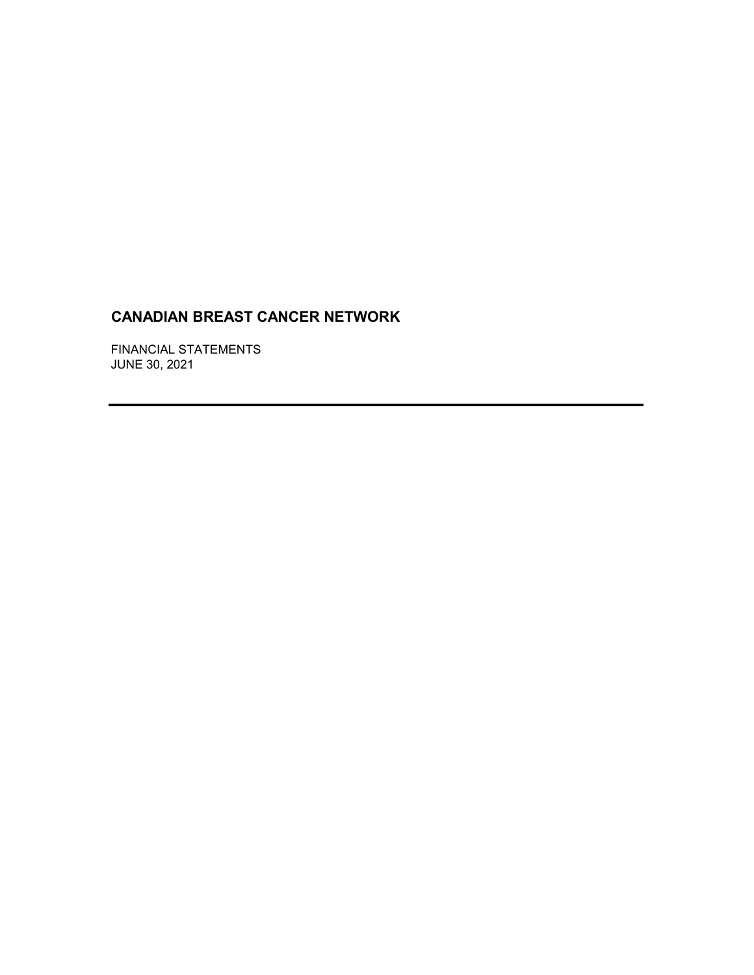FINANCIAL STATEMENTS JUNE 30, 2021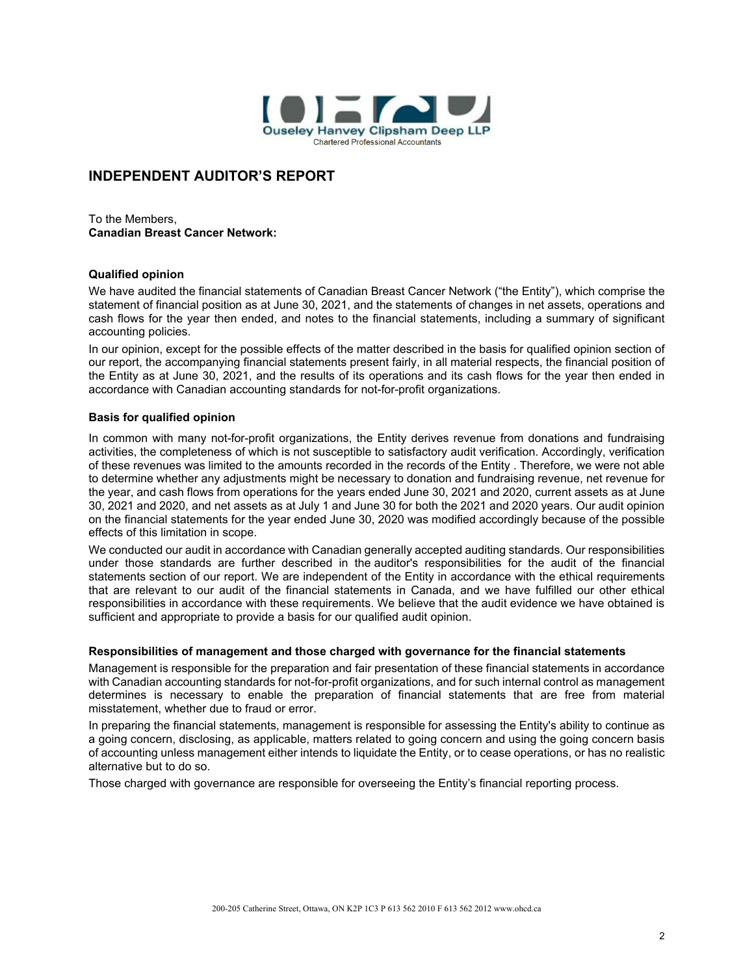

## **INDEPENDENT AUDITOR'S REPORT**

To the Members, **Canadian Breast Cancer Network:**

### **Qualified opinion**

We have audited the financial statements of Canadian Breast Cancer Network ("the Entity"), which comprise the statement of financial position as at June 30, 2021, and the statements of changes in net assets, operations and cash flows for the year then ended, and notes to the financial statements, including a summary of significant accounting policies.

In our opinion, except for the possible effects of the matter described in the basis for qualified opinion section of our report, the accompanying financial statements present fairly, in all material respects, the financial position of the Entity as at June 30, 2021, and the results of its operations and its cash flows for the year then ended in accordance with Canadian accounting standards for not-for-profit organizations.

### **Basis for qualified opinion**

In common with many not-for-profit organizations, the Entity derives revenue from donations and fundraising activities, the completeness of which is not susceptible to satisfactory audit verification. Accordingly, verification of these revenues was limited to the amounts recorded in the records of the Entity . Therefore, we were not able to determine whether any adjustments might be necessary to donation and fundraising revenue, net revenue for the year, and cash flows from operations for the years ended June 30, 2021 and 2020, current assets as at June 30, 2021 and 2020, and net assets as at July 1 and June 30 for both the 2021 and 2020 years. Our audit opinion on the financial statements for the year ended June 30, 2020 was modified accordingly because of the possible effects of this limitation in scope.

We conducted our audit in accordance with Canadian generally accepted auditing standards. Our responsibilities under those standards are further described in the auditor's responsibilities for the audit of the financial statements section of our report. We are independent of the Entity in accordance with the ethical requirements that are relevant to our audit of the financial statements in Canada, and we have fulfilled our other ethical responsibilities in accordance with these requirements. We believe that the audit evidence we have obtained is sufficient and appropriate to provide a basis for our qualified audit opinion.

### **Responsibilities of management and those charged with governance for the financial statements**

Management is responsible for the preparation and fair presentation of these financial statements in accordance with Canadian accounting standards for not-for-profit organizations, and for such internal control as management determines is necessary to enable the preparation of financial statements that are free from material misstatement, whether due to fraud or error.

In preparing the financial statements, management is responsible for assessing the Entity's ability to continue as a going concern, disclosing, as applicable, matters related to going concern and using the going concern basis of accounting unless management either intends to liquidate the Entity, or to cease operations, or has no realistic alternative but to do so.

Those charged with governance are responsible for overseeing the Entity's financial reporting process.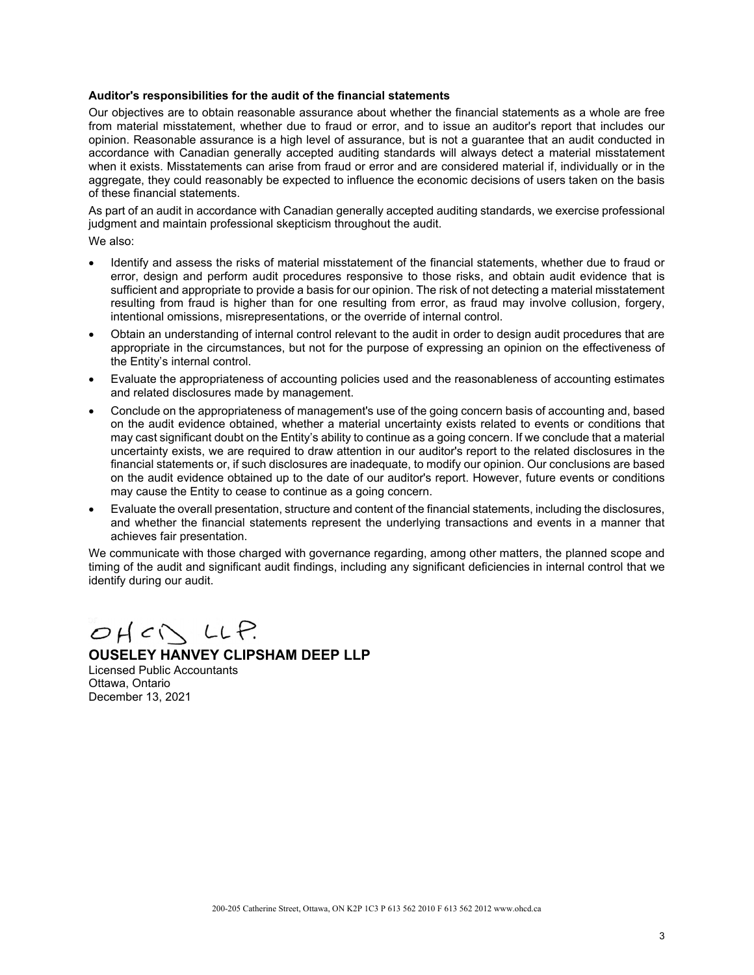### **Auditor's responsibilities for the audit of the financial statements**

Our objectives are to obtain reasonable assurance about whether the financial statements as a whole are free from material misstatement, whether due to fraud or error, and to issue an auditor's report that includes our opinion. Reasonable assurance is a high level of assurance, but is not a guarantee that an audit conducted in accordance with Canadian generally accepted auditing standards will always detect a material misstatement when it exists. Misstatements can arise from fraud or error and are considered material if, individually or in the aggregate, they could reasonably be expected to influence the economic decisions of users taken on the basis of these financial statements.

As part of an audit in accordance with Canadian generally accepted auditing standards, we exercise professional judgment and maintain professional skepticism throughout the audit.

We also:

- Identify and assess the risks of material misstatement of the financial statements, whether due to fraud or error, design and perform audit procedures responsive to those risks, and obtain audit evidence that is sufficient and appropriate to provide a basis for our opinion. The risk of not detecting a material misstatement resulting from fraud is higher than for one resulting from error, as fraud may involve collusion, forgery, intentional omissions, misrepresentations, or the override of internal control.
- Obtain an understanding of internal control relevant to the audit in order to design audit procedures that are appropriate in the circumstances, but not for the purpose of expressing an opinion on the effectiveness of the Entity's internal control.
- Evaluate the appropriateness of accounting policies used and the reasonableness of accounting estimates and related disclosures made by management.
- Conclude on the appropriateness of management's use of the going concern basis of accounting and, based on the audit evidence obtained, whether a material uncertainty exists related to events or conditions that may cast significant doubt on the Entity's ability to continue as a going concern. If we conclude that a material uncertainty exists, we are required to draw attention in our auditor's report to the related disclosures in the financial statements or, if such disclosures are inadequate, to modify our opinion. Our conclusions are based on the audit evidence obtained up to the date of our auditor's report. However, future events or conditions may cause the Entity to cease to continue as a going concern.
- Evaluate the overall presentation, structure and content of the financial statements, including the disclosures, and whether the financial statements represent the underlying transactions and events in a manner that achieves fair presentation.

We communicate with those charged with governance regarding, among other matters, the planned scope and timing of the audit and significant audit findings, including any significant deficiencies in internal control that we identify during our audit.

 $OHCN LLP$ 

## **OUSELEY HANVEY CLIPSHAM DEEP LLP**

Licensed Public Accountants Ottawa, Ontario December 13, 2021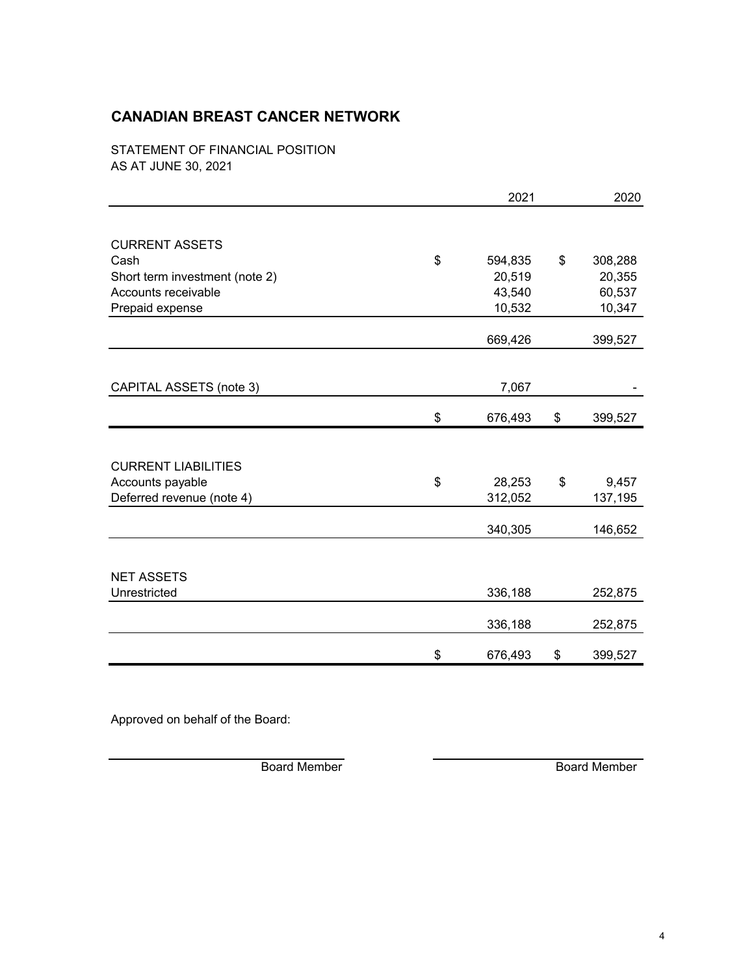STATEMENT OF FINANCIAL POSITION AS AT JUNE 30, 2021

|                                | 2021          |    | 2020    |  |
|--------------------------------|---------------|----|---------|--|
|                                |               |    |         |  |
| <b>CURRENT ASSETS</b>          |               |    |         |  |
| Cash                           | \$<br>594,835 | \$ | 308,288 |  |
| Short term investment (note 2) | 20,519        |    | 20,355  |  |
| Accounts receivable            | 43,540        |    | 60,537  |  |
| Prepaid expense                | 10,532        |    | 10,347  |  |
|                                | 669,426       |    | 399,527 |  |
|                                |               |    |         |  |
| CAPITAL ASSETS (note 3)        | 7,067         |    |         |  |
|                                | \$<br>676,493 | \$ | 399,527 |  |
|                                |               |    |         |  |
| <b>CURRENT LIABILITIES</b>     |               |    |         |  |
| Accounts payable               | \$<br>28,253  | \$ | 9,457   |  |
| Deferred revenue (note 4)      | 312,052       |    | 137,195 |  |
|                                | 340,305       |    | 146,652 |  |
|                                |               |    |         |  |
| <b>NET ASSETS</b>              |               |    |         |  |
| Unrestricted                   | 336,188       |    | 252,875 |  |
|                                | 336,188       |    | 252,875 |  |
|                                | \$<br>676,493 | \$ | 399,527 |  |
|                                |               |    |         |  |

Approved on behalf of the Board:

Board Member Board Member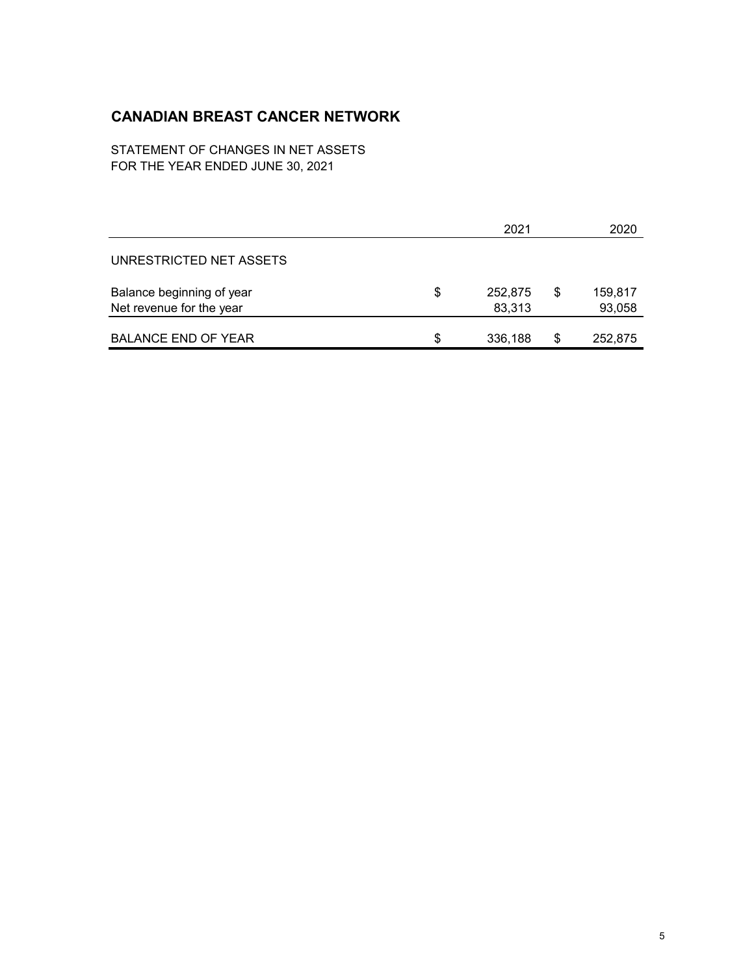STATEMENT OF CHANGES IN NET ASSETS FOR THE YEAR ENDED JUNE 30, 2021

|                            |    | 2021    | 2020          |
|----------------------------|----|---------|---------------|
| UNRESTRICTED NET ASSETS    |    |         |               |
| Balance beginning of year  | \$ | 252,875 | \$<br>159,817 |
| Net revenue for the year   |    | 83,313  | 93,058        |
| <b>BALANCE END OF YEAR</b> | S. | 336,188 | \$<br>252,875 |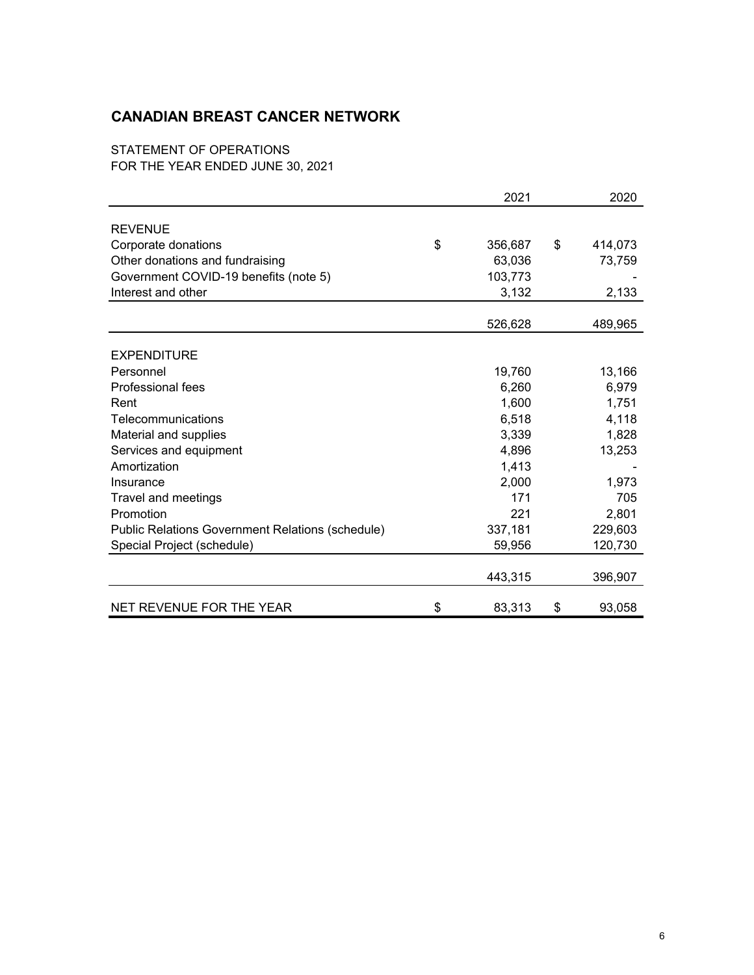STATEMENT OF OPERATIONS FOR THE YEAR ENDED JUNE 30, 2021

|                                                  | 2021          | 2020          |
|--------------------------------------------------|---------------|---------------|
|                                                  |               |               |
| <b>REVENUE</b>                                   |               |               |
| Corporate donations                              | \$<br>356,687 | \$<br>414,073 |
| Other donations and fundraising                  | 63,036        | 73,759        |
| Government COVID-19 benefits (note 5)            | 103,773       |               |
| Interest and other                               | 3,132         | 2,133         |
|                                                  | 526,628       | 489,965       |
|                                                  |               |               |
| <b>EXPENDITURE</b>                               |               |               |
| Personnel                                        | 19,760        | 13,166        |
| Professional fees                                | 6,260         | 6,979         |
| Rent                                             | 1,600         | 1,751         |
| Telecommunications                               | 6,518         | 4,118         |
| Material and supplies                            | 3,339         | 1,828         |
| Services and equipment                           | 4,896         | 13,253        |
| Amortization                                     | 1,413         |               |
| Insurance                                        | 2,000         | 1,973         |
| Travel and meetings                              | 171           | 705           |
| Promotion                                        | 221           | 2,801         |
| Public Relations Government Relations (schedule) | 337,181       | 229,603       |
| Special Project (schedule)                       | 59,956        | 120,730       |
|                                                  | 443,315       | 396,907       |
| NET REVENUE FOR THE YEAR                         | \$<br>83,313  | \$<br>93,058  |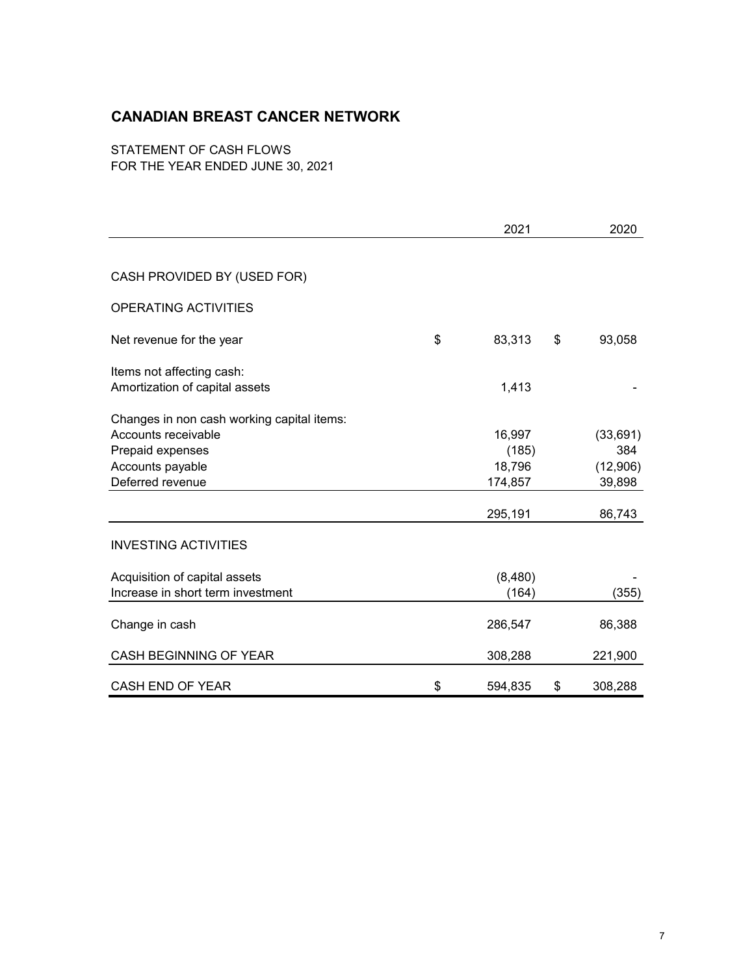STATEMENT OF CASH FLOWS FOR THE YEAR ENDED JUNE 30, 2021

|                                            | 2021          | 2020          |
|--------------------------------------------|---------------|---------------|
|                                            |               |               |
| CASH PROVIDED BY (USED FOR)                |               |               |
| OPERATING ACTIVITIES                       |               |               |
| Net revenue for the year                   | \$<br>83,313  | \$<br>93,058  |
| Items not affecting cash:                  |               |               |
| Amortization of capital assets             | 1,413         |               |
| Changes in non cash working capital items: |               |               |
| Accounts receivable                        | 16,997        | (33, 691)     |
| Prepaid expenses                           | (185)         | 384           |
| Accounts payable                           | 18,796        | (12,906)      |
| Deferred revenue                           | 174,857       | 39,898        |
|                                            |               |               |
|                                            | 295,191       | 86,743        |
| <b>INVESTING ACTIVITIES</b>                |               |               |
| Acquisition of capital assets              | (8,480)       |               |
| Increase in short term investment          | (164)         | (355)         |
|                                            |               |               |
| Change in cash                             | 286,547       | 86,388        |
| CASH BEGINNING OF YEAR                     | 308,288       | 221,900       |
| <b>CASH END OF YEAR</b>                    | \$<br>594,835 | \$<br>308,288 |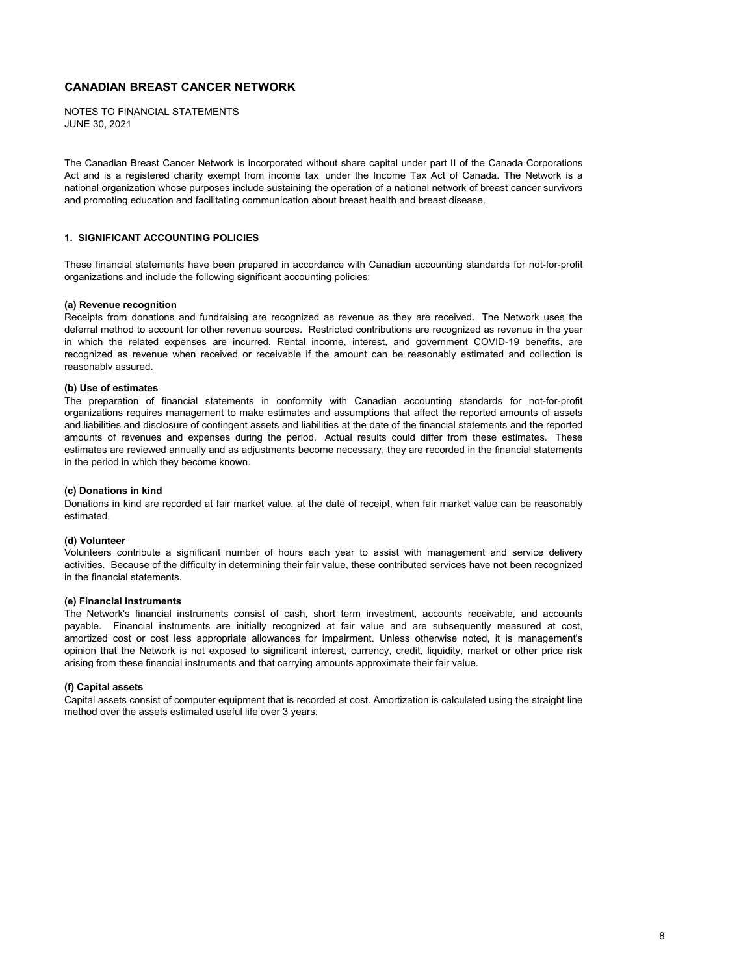JUNE 30, 2021 NOTES TO FINANCIAL STATEMENTS

The Canadian Breast Cancer Network is incorporated without share capital under part II of the Canada Corporations Act and is a registered charity exempt from income tax under the Income Tax Act of Canada. The Network is a national organization whose purposes include sustaining the operation of a national network of breast cancer survivors and promoting education and facilitating communication about breast health and breast disease.

### **1. SIGNIFICANT ACCOUNTING POLICIES**

These financial statements have been prepared in accordance with Canadian accounting standards for not-for-profit organizations and include the following significant accounting policies:

#### **(a) Revenue recognition**

Receipts from donations and fundraising are recognized as revenue as they are received. The Network uses the deferral method to account for other revenue sources. Restricted contributions are recognized as revenue in the year in which the related expenses are incurred. Rental income, interest, and government COVID-19 benefits, are recognized as revenue when received or receivable if the amount can be reasonably estimated and collection is reasonably assured.

### **(b) Use of estimates**

The preparation of financial statements in conformity with Canadian accounting standards for not-for-profit organizations requires management to make estimates and assumptions that affect the reported amounts of assets and liabilities and disclosure of contingent assets and liabilities at the date of the financial statements and the reported amounts of revenues and expenses during the period. Actual results could differ from these estimates. These estimates are reviewed annually and as adjustments become necessary, they are recorded in the financial statements in the period in which they become known.

#### **(c) Donations in kind**

Donations in kind are recorded at fair market value, at the date of receipt, when fair market value can be reasonably estimated.

### **(d) Volunteer**

Volunteers contribute a significant number of hours each year to assist with management and service delivery activities. Because of the difficulty in determining their fair value, these contributed services have not been recognized in the financial statements.

#### **(e) Financial instruments**

The Network's financial instruments consist of cash, short term investment, accounts receivable, and accounts payable. Financial instruments are initially recognized at fair value and are subsequently measured at cost, amortized cost or cost less appropriate allowances for impairment. Unless otherwise noted, it is management's opinion that the Network is not exposed to significant interest, currency, credit, liquidity, market or other price risk arising from these financial instruments and that carrying amounts approximate their fair value.

#### **(f) Capital assets**

Capital assets consist of computer equipment that is recorded at cost. Amortization is calculated using the straight line method over the assets estimated useful life over 3 years.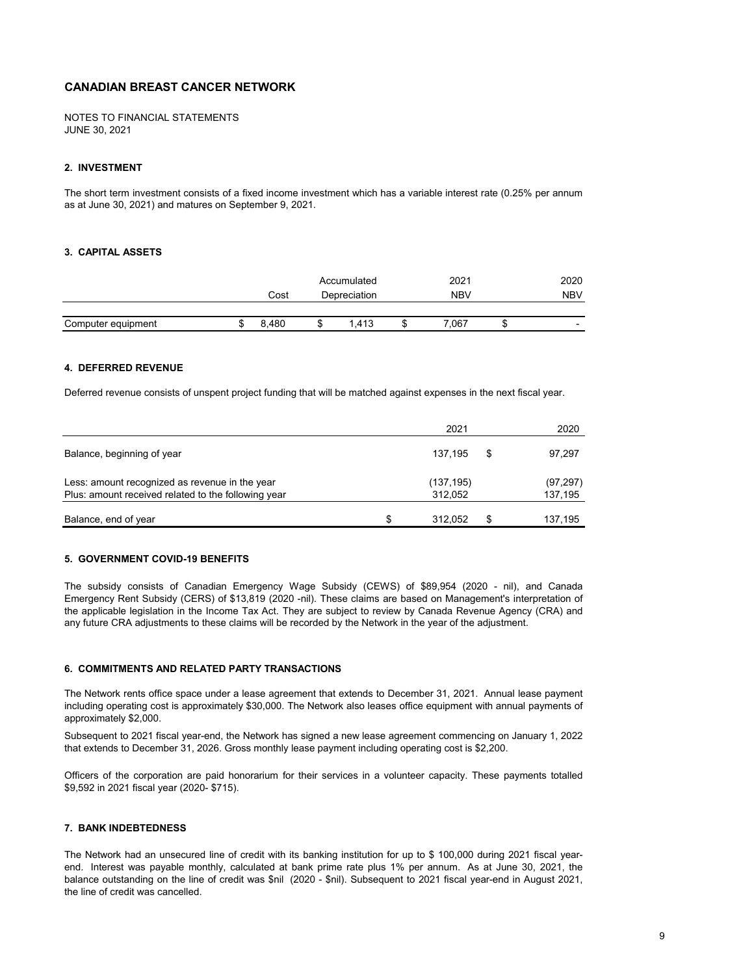JUNE 30, 2021 NOTES TO FINANCIAL STATEMENTS

#### **2. INVESTMENT**

The short term investment consists of a fixed income investment which has a variable interest rate (0.25% per annum as at June 30, 2021) and matures on September 9, 2021.

### **3. CAPITAL ASSETS**

|                    | Accumulated |  | 2021         | 2020       |                          |
|--------------------|-------------|--|--------------|------------|--------------------------|
|                    | Cost        |  | Depreciation | <b>NBV</b> | <b>NBV</b>               |
|                    |             |  |              |            |                          |
| Computer equipment | 8.480       |  | 1.413        | .067       | $\overline{\phantom{0}}$ |

#### **4. DEFERRED REVENUE**

Deferred revenue consists of unspent project funding that will be matched against expenses in the next fiscal year.

|                                                     |   | 2021      | 2020         |
|-----------------------------------------------------|---|-----------|--------------|
| Balance, beginning of year                          |   | 137.195   | \$<br>97,297 |
| Less: amount recognized as revenue in the year      |   | (137,195) | (97, 297)    |
| Plus: amount received related to the following year |   | 312,052   | 137,195      |
| Balance, end of year                                | S | 312.052   | 137,195      |

#### **5. GOVERNMENT COVID-19 BENEFITS**

The subsidy consists of Canadian Emergency Wage Subsidy (CEWS) of \$89,954 (2020 - nil), and Canada Emergency Rent Subsidy (CERS) of \$13,819 (2020 -nil). These claims are based on Management's interpretation of the applicable legislation in the Income Tax Act. They are subject to review by Canada Revenue Agency (CRA) and any future CRA adjustments to these claims will be recorded by the Network in the year of the adjustment.

#### **6. COMMITMENTS AND RELATED PARTY TRANSACTIONS**

The Network rents office space under a lease agreement that extends to December 31, 2021. Annual lease payment including operating cost is approximately \$30,000. The Network also leases office equipment with annual payments of approximately \$2,000.

Subsequent to 2021 fiscal year-end, the Network has signed a new lease agreement commencing on January 1, 2022 that extends to December 31, 2026. Gross monthly lease payment including operating cost is \$2,200.

Officers of the corporation are paid honorarium for their services in a volunteer capacity. These payments totalled \$9,592 in 2021 fiscal year (2020- \$715).

#### **7. BANK INDEBTEDNESS**

The Network had an unsecured line of credit with its banking institution for up to \$ 100,000 during 2021 fiscal yearend. Interest was payable monthly, calculated at bank prime rate plus 1% per annum. As at June 30, 2021, the balance outstanding on the line of credit was \$nil (2020 - \$nil). Subsequent to 2021 fiscal year-end in August 2021, the line of credit was cancelled.